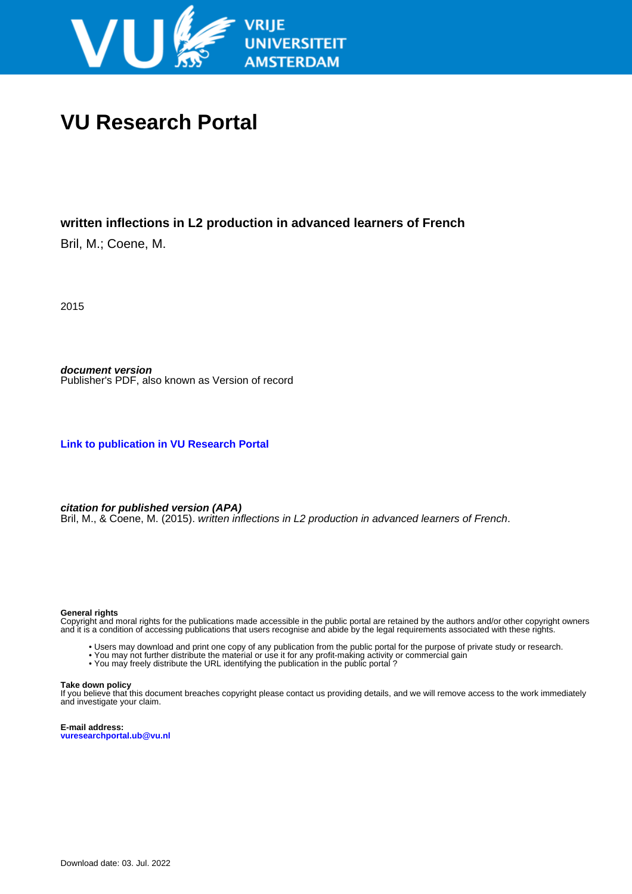

# **VU Research Portal**

## **written inflections in L2 production in advanced learners of French**

Bril, M.; Coene, M.

2015

**document version** Publisher's PDF, also known as Version of record

**[Link to publication in VU Research Portal](https://research.vu.nl/en/publications/4a3c323f-2b0e-4e31-be5e-415f863cfa32)**

**citation for published version (APA)**

Bril, M., & Coene, M. (2015). written inflections in L2 production in advanced learners of French.

### **General rights**

Copyright and moral rights for the publications made accessible in the public portal are retained by the authors and/or other copyright owners and it is a condition of accessing publications that users recognise and abide by the legal requirements associated with these rights.

- Users may download and print one copy of any publication from the public portal for the purpose of private study or research.
- You may not further distribute the material or use it for any profit-making activity or commercial gain
- You may freely distribute the URL identifying the publication in the public portal?

#### **Take down policy**

If you believe that this document breaches copyright please contact us providing details, and we will remove access to the work immediately and investigate your claim.

**E-mail address: vuresearchportal.ub@vu.nl**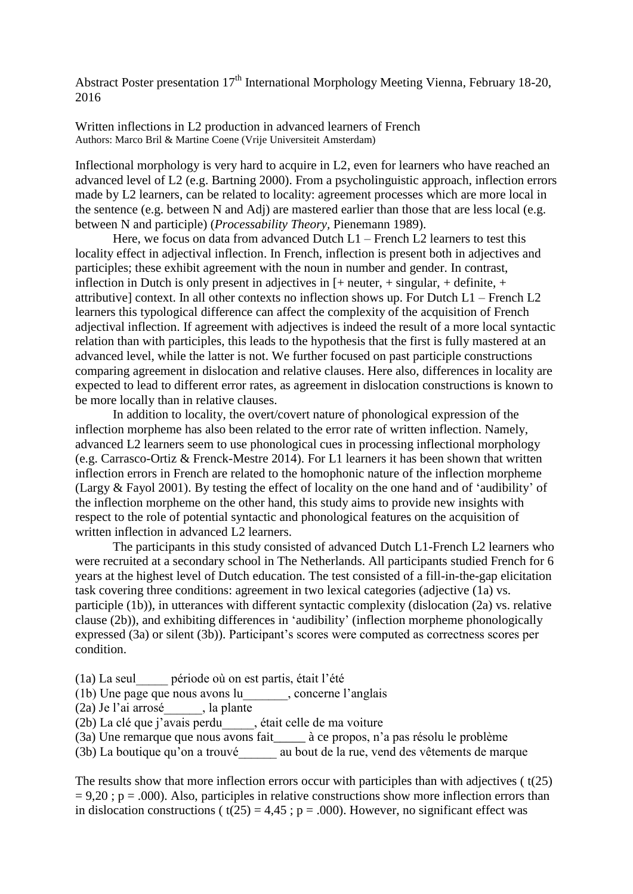Abstract Poster presentation  $17<sup>th</sup>$  International Morphology Meeting Vienna, February 18-20, 2016

Written inflections in L2 production in advanced learners of French Authors: Marco Bril & Martine Coene (Vrije Universiteit Amsterdam)

Inflectional morphology is very hard to acquire in L2, even for learners who have reached an advanced level of L2 (e.g. Bartning 2000). From a psycholinguistic approach, inflection errors made by L2 learners, can be related to locality: agreement processes which are more local in the sentence (e.g. between N and Adj) are mastered earlier than those that are less local (e.g. between N and participle) (*Processability Theory,* Pienemann 1989).

Here, we focus on data from advanced Dutch L1 – French L2 learners to test this locality effect in adjectival inflection. In French, inflection is present both in adjectives and participles; these exhibit agreement with the noun in number and gender. In contrast, inflection in Dutch is only present in adjectives in  $[+$  neuter,  $+$  singular,  $+$  definite,  $+$ attributivel context. In all other contexts no inflection shows up. For Dutch  $L1$  – French L2 learners this typological difference can affect the complexity of the acquisition of French adjectival inflection. If agreement with adjectives is indeed the result of a more local syntactic relation than with participles, this leads to the hypothesis that the first is fully mastered at an advanced level, while the latter is not. We further focused on past participle constructions comparing agreement in dislocation and relative clauses. Here also, differences in locality are expected to lead to different error rates, as agreement in dislocation constructions is known to be more locally than in relative clauses.

In addition to locality, the overt/covert nature of phonological expression of the inflection morpheme has also been related to the error rate of written inflection. Namely, advanced L2 learners seem to use phonological cues in processing inflectional morphology (e.g. Carrasco-Ortiz & Frenck-Mestre 2014). For L1 learners it has been shown that written inflection errors in French are related to the homophonic nature of the inflection morpheme (Largy & Fayol 2001). By testing the effect of locality on the one hand and of 'audibility' of the inflection morpheme on the other hand, this study aims to provide new insights with respect to the role of potential syntactic and phonological features on the acquisition of written inflection in advanced L2 learners.

The participants in this study consisted of advanced Dutch L1-French L2 learners who were recruited at a secondary school in The Netherlands. All participants studied French for 6 years at the highest level of Dutch education. The test consisted of a fill-in-the-gap elicitation task covering three conditions: agreement in two lexical categories (adjective (1a) vs. participle (1b)), in utterances with different syntactic complexity (dislocation (2a) vs. relative clause (2b)), and exhibiting differences in 'audibility' (inflection morpheme phonologically expressed (3a) or silent (3b)). Participant's scores were computed as correctness scores per condition.

(1a) La seul\_\_\_\_\_ période où on est partis, était l'été

(1b) Une page que nous avons lu\_\_\_\_\_\_\_, concerne l'anglais

- (2a) Je l'ai arrosé\_\_\_\_\_\_, la plante
- (2b) La clé que j'avais perdu\_\_\_\_\_, était celle de ma voiture
- (3a) Une remarque que nous avons fait\_\_\_\_\_ à ce propos, n'a pas résolu le problème

(3b) La boutique qu'on a trouvé\_\_\_\_\_\_ au bout de la rue, vend des vêtements de marque

The results show that more inflection errors occur with participles than with adjectives ( $t(25)$ )  $= 9.20$ ; p = .000). Also, participles in relative constructions show more inflection errors than in dislocation constructions ( $t(25) = 4.45$ ;  $p = .000$ ). However, no significant effect was